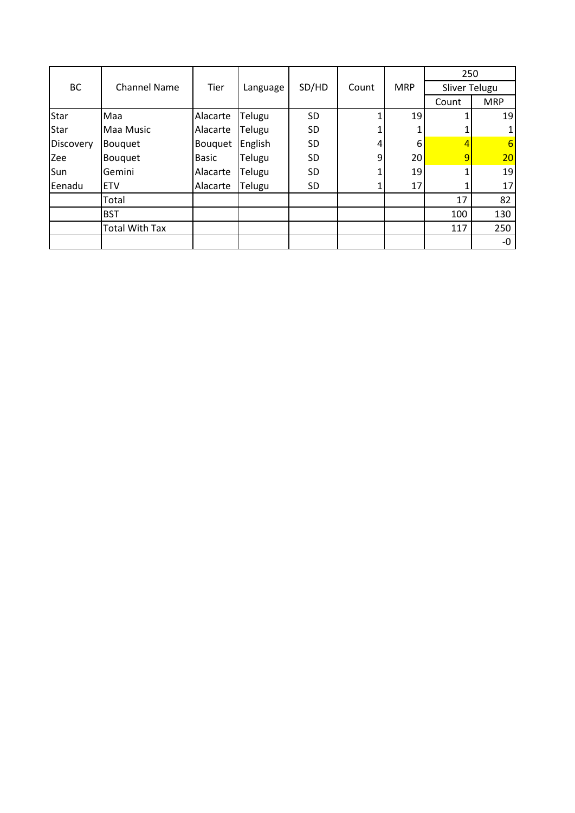|             |                       |          |          |           |       |            | 250            |                 |
|-------------|-----------------------|----------|----------|-----------|-------|------------|----------------|-----------------|
| BC          | <b>Channel Name</b>   | Tier     | Language | SD/HD     | Count | <b>MRP</b> | Sliver Telugu  |                 |
|             |                       |          |          |           |       |            | Count          | <b>MRP</b>      |
| Star        | Maa                   | Alacarte | Telugu   | <b>SD</b> |       | 19         |                | 19              |
| <b>Star</b> | Maa Music             | Alacarte | Telugu   | <b>SD</b> |       |            |                |                 |
| Discovery   | <b>Bouquet</b>        | Bouquet  | English  | <b>SD</b> |       | 6          |                | $6\overline{6}$ |
| Zee         | <b>Bouquet</b>        | Basic    | Telugu   | <b>SD</b> | 9     | 20         | $\overline{9}$ | 20              |
| Sun         | Gemini                | Alacarte | Telugu   | <b>SD</b> |       | 19         |                | 19              |
| Eenadu      | <b>ETV</b>            | Alacarte | Telugu   | <b>SD</b> |       | 17         |                | 17              |
|             | Total                 |          |          |           |       |            | 17             | 82              |
|             | <b>BST</b>            |          |          |           |       |            | 100            | 130             |
|             | <b>Total With Tax</b> |          |          |           |       |            | 117            | 250             |
|             |                       |          |          |           |       |            |                | -0              |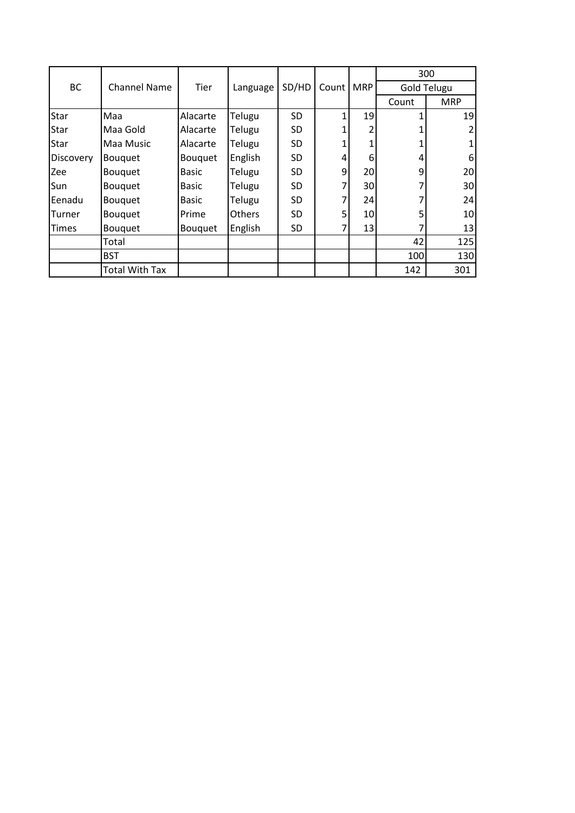|              |                       |                |          |           |       |                 | 300                |            |  |
|--------------|-----------------------|----------------|----------|-----------|-------|-----------------|--------------------|------------|--|
| <b>BC</b>    | <b>Channel Name</b>   | <b>Tier</b>    | Language | SD/HD     | Count | <b>MRP</b>      | <b>Gold Telugu</b> |            |  |
|              |                       |                |          |           |       |                 | Count              | <b>MRP</b> |  |
| Star         | Maa                   | Alacarte       | Telugu   | <b>SD</b> |       | 19              |                    | 19         |  |
| Star         | Maa Gold              | Alacarte       | Telugu   | <b>SD</b> |       | 2               |                    | 2          |  |
| Star         | Maa Music             | Alacarte       | Telugu   | <b>SD</b> |       |                 |                    | 1          |  |
| Discovery    | <b>Bouquet</b>        | <b>Bouquet</b> | English  | <b>SD</b> | 4     | 6               | 4                  | 6          |  |
| Zee          | <b>Bouquet</b>        | <b>Basic</b>   | Telugu   | <b>SD</b> | 9     | 20 <sup>1</sup> | 9                  | 20         |  |
| Sun          | Bouquet               | <b>Basic</b>   | Telugu   | <b>SD</b> |       | 30 <sup>1</sup> |                    | 30         |  |
| Eenadu       | <b>Bouquet</b>        | <b>Basic</b>   | Telugu   | <b>SD</b> |       | 24              |                    | 24         |  |
| Turner       | Bouquet               | Prime          | Others   | <b>SD</b> | 5     | 10 <sub>l</sub> | 5                  | 10         |  |
| <b>Times</b> | Bouquet               | <b>Bouquet</b> | English  | <b>SD</b> |       | 13              |                    | 13         |  |
|              | Total                 |                |          |           |       |                 | 42                 | 125        |  |
|              | <b>BST</b>            |                |          |           |       |                 | 100                | 130        |  |
|              | <b>Total With Tax</b> |                |          |           |       |                 | 142                | 301        |  |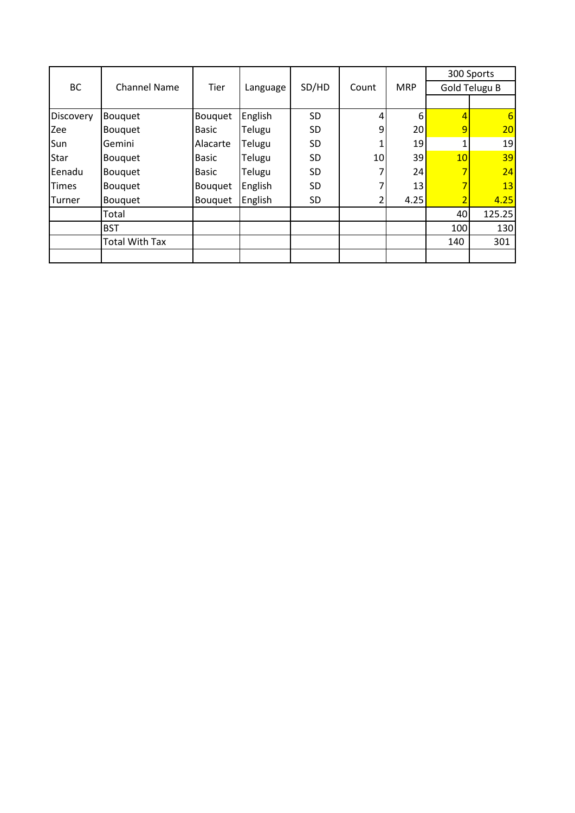|              |                       | Tier           |          |                |    |                 | 300 Sports      |        |  |
|--------------|-----------------------|----------------|----------|----------------|----|-----------------|-----------------|--------|--|
| BC           | <b>Channel Name</b>   |                | Language | SD/HD<br>Count |    | <b>MRP</b>      | Gold Telugu B   |        |  |
|              |                       |                |          |                |    |                 |                 |        |  |
| Discovery    | Bouquet               | <b>Bouquet</b> | English  | <b>SD</b>      |    | 6               | 4               | 6      |  |
| Zee          | <b>Bouquet</b>        | <b>Basic</b>   | Telugu   | <b>SD</b>      | 9  | 20 <sub>l</sub> | 9               | 20     |  |
| Sun          | Gemini                | Alacarte       | Telugu   | <b>SD</b>      |    | 19              |                 | 19     |  |
| <b>Star</b>  | Bouquet               | <b>Basic</b>   | Telugu   | <b>SD</b>      | 10 | 39              | 10 <sub>1</sub> | 39     |  |
| Eenadu       | <b>Bouquet</b>        | <b>Basic</b>   | Telugu   | <b>SD</b>      |    | 24              | 7               | 24     |  |
| <b>Times</b> | Bouquet               | <b>Bouquet</b> | English  | <b>SD</b>      |    | 13              | 7               | 13     |  |
| Turner       | <b>Bouquet</b>        | <b>Bouquet</b> | English  | SD             |    | 4.25            | 2               | 4.25   |  |
|              | Total                 |                |          |                |    |                 | 40              | 125.25 |  |
|              | <b>BST</b>            |                |          |                |    |                 | 100             | 130    |  |
|              | <b>Total With Tax</b> |                |          |                |    |                 | 140             | 301    |  |
|              |                       |                |          |                |    |                 |                 |        |  |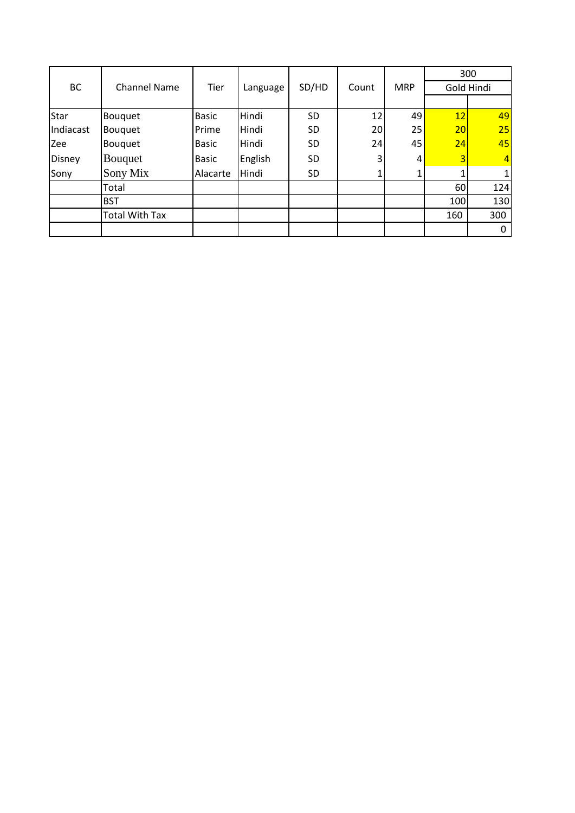|               |                       |              |          |           |       |            | 300 |                |  |
|---------------|-----------------------|--------------|----------|-----------|-------|------------|-----|----------------|--|
| BC            | <b>Channel Name</b>   | Tier         | Language | SD/HD     | Count | <b>MRP</b> |     | Gold Hindi     |  |
|               |                       |              |          |           |       |            |     |                |  |
| Star          | <b>Bouquet</b>        | <b>Basic</b> | Hindi    | <b>SD</b> | 12    | 49         | 12  | 49             |  |
| Indiacast     | Bouquet               | Prime        | Hindi    | <b>SD</b> | 20    | 25         | 20  | 25             |  |
| Zee           | <b>Bouquet</b>        | <b>Basic</b> | Hindi    | <b>SD</b> | 24    | 45         | 24  | 45             |  |
| <b>Disney</b> | <b>Bouquet</b>        | <b>Basic</b> | English  | <b>SD</b> | 3     | 4          | 3   | $\overline{4}$ |  |
| Sony          | Sony Mix              | Alacarte     | Hindi    | <b>SD</b> |       |            |     |                |  |
|               | Total                 |              |          |           |       |            | 60  | 124            |  |
|               | <b>BST</b>            |              |          |           |       |            | 100 | 130            |  |
|               | <b>Total With Tax</b> |              |          |           |       |            | 160 | 300            |  |
|               |                       |              |          |           |       |            |     | 0              |  |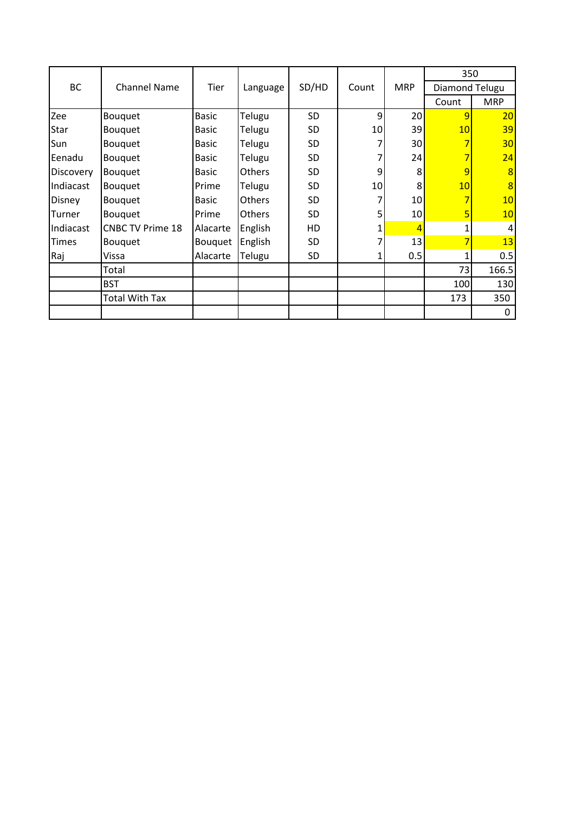|                  |                         |                |               |           |                 |                 | 350            |            |  |
|------------------|-------------------------|----------------|---------------|-----------|-----------------|-----------------|----------------|------------|--|
| BC               | <b>Channel Name</b>     | Tier           | Language      | SD/HD     | Count           | <b>MRP</b>      | Diamond Telugu |            |  |
|                  |                         |                |               |           |                 |                 | Count          | <b>MRP</b> |  |
| Zee              | Bouquet                 | <b>Basic</b>   | Telugu        | <b>SD</b> | 9               | 20              | $\overline{9}$ | 20         |  |
| Star             | Bouquet                 | <b>Basic</b>   | Telugu        | <b>SD</b> | 10 <sup>1</sup> | 39              | 10             | 39         |  |
| Sun              | Bouquet                 | Basic          | Telugu        | <b>SD</b> |                 | 30              |                | 30         |  |
| Eenadu           | Bouquet                 | Basic          | Telugu        | <b>SD</b> |                 | 24              |                | 24         |  |
| <b>Discovery</b> | <b>Bouquet</b>          | <b>Basic</b>   | Others        | <b>SD</b> | 9               | 8               | 9              | 8          |  |
| Indiacast        | Bouquet                 | Prime          | Telugu        | <b>SD</b> | 10 <sup>1</sup> | 8               | 10             | 8          |  |
| <b>Disney</b>    | Bouquet                 | <b>Basic</b>   | Others        | SD        |                 | 10              |                | 10         |  |
| Turner           | <b>Bouquet</b>          | Prime          | <b>Others</b> | <b>SD</b> | 5               | 10 <sup>1</sup> | 5              | 10         |  |
| Indiacast        | <b>CNBC TV Prime 18</b> | Alacarte       | English       | HD        |                 | Δ               |                | 4          |  |
| <b>Times</b>     | <b>Bouquet</b>          | <b>Bouquet</b> | English       | <b>SD</b> |                 | 13              |                | 13         |  |
| Raj              | Vissa                   | Alacarte       | Telugu        | SD        |                 | 0.5             |                | 0.5        |  |
|                  | Total                   |                |               |           |                 |                 | 73             | 166.5      |  |
|                  | <b>BST</b>              |                |               |           |                 |                 | 100            | 130        |  |
|                  | <b>Total With Tax</b>   |                |               |           |                 |                 | 173            | 350        |  |
|                  |                         |                |               |           |                 |                 |                | 0          |  |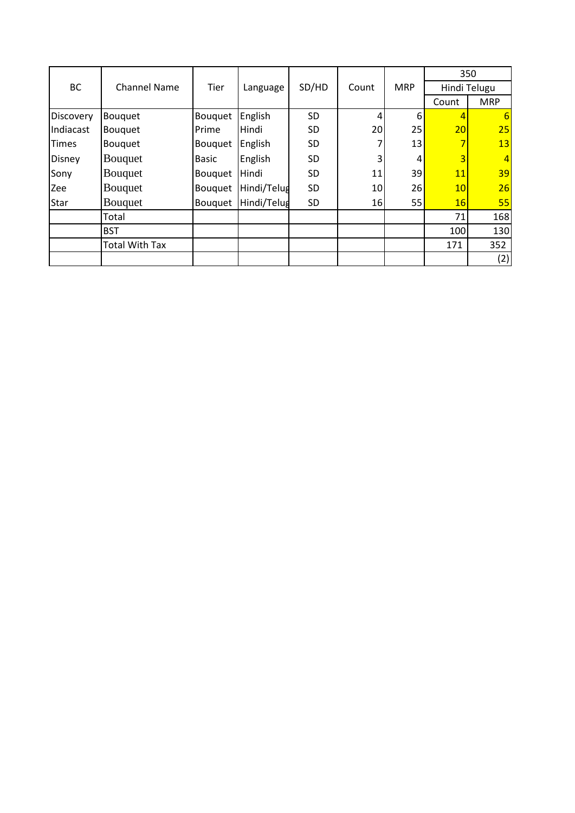|              |                       |                |             |           |                 |            | 350          |                |  |
|--------------|-----------------------|----------------|-------------|-----------|-----------------|------------|--------------|----------------|--|
| BC           | <b>Channel Name</b>   | Tier           | Language    | SD/HD     | Count           | <b>MRP</b> | Hindi Telugu |                |  |
|              |                       |                |             |           |                 |            | Count        | <b>MRP</b>     |  |
| Discovery    | <b>Bouquet</b>        | <b>Bouquet</b> | English     | <b>SD</b> | 4               | 6          | 4            | 6              |  |
| Indiacast    | <b>Bouquet</b>        | Prime          | Hindi       | <b>SD</b> | 20              | 25         | 20           | 25             |  |
| <b>Times</b> | Bouquet               | <b>Bouquet</b> | English     | <b>SD</b> |                 | 13         |              | 13             |  |
| Disney       | Bouquet               | <b>Basic</b>   | English     | <b>SD</b> |                 | 4          | 3            | $\overline{4}$ |  |
| Sony         | Bouquet               | <b>Bouquet</b> | Hindi       | SD        | 11              | 39         | 11           | 39             |  |
| Zee          | <b>Bouquet</b>        | <b>Bouquet</b> | Hindi/Telug | <b>SD</b> | 10 <sup>1</sup> | 26         | 10           | 26             |  |
| <b>Star</b>  | <b>Bouquet</b>        | <b>Bouquet</b> | Hindi/Telug | <b>SD</b> | 16              | 55         | <b>16</b>    | 55             |  |
|              | Total                 |                |             |           |                 |            | 71           | 168            |  |
|              | <b>BST</b>            |                |             |           |                 |            | 100          | 130            |  |
|              | <b>Total With Tax</b> |                |             |           |                 |            | 171          | 352            |  |
|              |                       |                |             |           |                 |            |              | (2)            |  |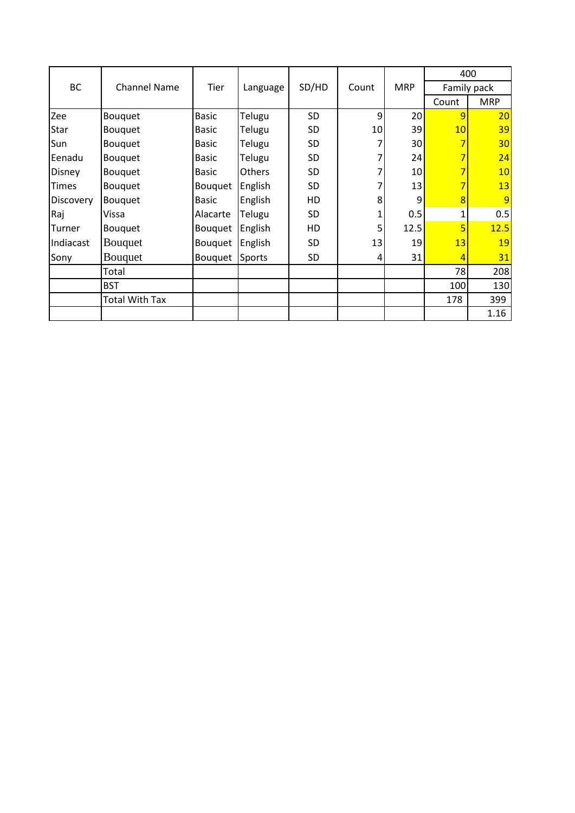|               |                     |                |          |           |       |            | 400   |             |
|---------------|---------------------|----------------|----------|-----------|-------|------------|-------|-------------|
| BC            | <b>Channel Name</b> | Tier           | Language | SD/HD     | Count | <b>MRP</b> |       | Family pack |
|               |                     |                |          |           |       |            | Count | <b>MRP</b>  |
| Zee           | Bouquet             | <b>Basic</b>   | Telugu   | <b>SD</b> | 9     | 20         | 9     | 20          |
| Star          | <b>Bouquet</b>      | <b>Basic</b>   | Telugu   | <b>SD</b> | 10    | 39         | 10    | 39          |
| Sun           | <b>Bouquet</b>      | <b>Basic</b>   | Telugu   | <b>SD</b> |       | 30         |       | 30          |
| Eenadu        | <b>Bouquet</b>      | <b>Basic</b>   | Telugu   | SD        |       | 24         |       | 24          |
| <b>Disney</b> | <b>Bouquet</b>      | <b>Basic</b>   | Others   | SD        |       | 10         |       | 10          |
| <b>Times</b>  | Bouquet             | <b>Bouquet</b> | English  | SD        |       | 13         |       | 13          |
| Discovery     | Bouquet             | <b>Basic</b>   | English  | HD        | 8     | 9          | 8     | 9           |
| Raj           | Vissa               | Alacarte       | Telugu   | SD        |       | 0.5        | 1     | 0.5         |
| Turner        | <b>Bouquet</b>      | <b>Bouquet</b> | English  | HD        | 5     | 12.5       | 5     | 12.5        |
| Indiacast     | <b>Bouquet</b>      | <b>Bouquet</b> | English  | <b>SD</b> | 13    | 19         | 13    | 19          |
| Sony          | Bouquet             | Bouquet        | Sports   | SD        | 4     | 31         | 4     | 31          |
|               | Total               |                |          |           |       |            | 78    | 208         |
|               | <b>BST</b>          |                |          |           |       |            | 100   | 130         |
|               | Total With Tax      |                |          |           |       |            | 178   | 399         |
|               |                     |                |          |           |       |            |       | 1.16        |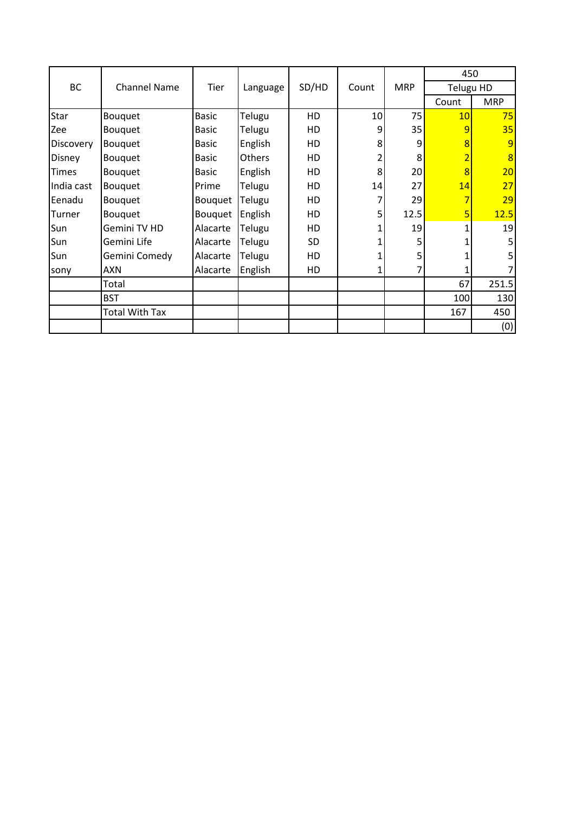|              |                       |                |          |           |                |            | 450            |                |
|--------------|-----------------------|----------------|----------|-----------|----------------|------------|----------------|----------------|
| <b>BC</b>    | <b>Channel Name</b>   | Tier           | Language | SD/HD     | Count          | <b>MRP</b> | Telugu HD      |                |
|              |                       |                |          |           |                |            | Count          | <b>MRP</b>     |
| Star         | Bouquet               | <b>Basic</b>   | Telugu   | HD        | 10             | 75         | 10             | 75             |
| Zee          | Bouquet               | <b>Basic</b>   | Telugu   | HD        | 9              | 35         | 9              | 35             |
| Discovery    | Bouquet               | <b>Basic</b>   | English  | HD        | 8              | 9          | 8              | 9              |
| Disney       | Bouquet               | <b>Basic</b>   | Others   | HD        | 2              | 8          | $\overline{2}$ | $\overline{8}$ |
| <b>Times</b> | Bouquet               | <b>Basic</b>   | English  | HD        | 8 <sup>1</sup> | 20         | $\overline{8}$ | 20             |
| India cast   | Bouquet               | Prime          | Telugu   | HD        | 14             | 27         | 14             | 27             |
| Eenadu       | Bouquet               | Bouquet        | Telugu   | HD        | $\overline{7}$ | 29         | $\overline{7}$ | 29             |
| Turner       | Bouquet               | <b>Bouquet</b> | English  | HD        | 5              | 12.5       | 5              | 12.5           |
| Sun          | Gemini TV HD          | Alacarte       | Telugu   | HD        | 1              | 19         |                | 19             |
| Sun          | Gemini Life           | Alacarte       | Telugu   | <b>SD</b> | 1              | 5          |                | 5              |
| Sun          | Gemini Comedy         | Alacarte       | Telugu   | HD        | 1              | 5          |                | 5              |
| sony         | <b>AXN</b>            | Alacarte       | English  | HD        | 1              | 7          |                |                |
|              | Total                 |                |          |           |                |            | 67             | 251.5          |
|              | <b>BST</b>            |                |          |           |                |            | 100            | 130            |
|              | <b>Total With Tax</b> |                |          |           |                |            | 167            | 450            |
|              |                       |                |          |           |                |            |                | (0)            |